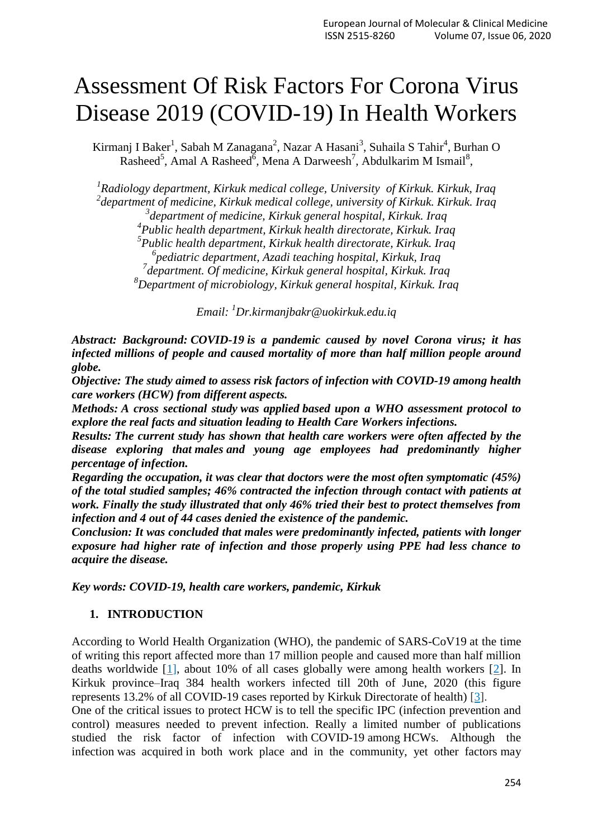# Assessment Of Risk Factors For Corona Virus Disease 2019 (COVID-19) In Health Workers

Kirmanj I Baker<sup>1</sup>, Sabah M Zanagana<sup>2</sup>, Nazar A Hasani<sup>3</sup>, Suhaila S Tahir<sup>4</sup>, Burhan O  $\text{Rashed}^5$ , Amal A Rasheed<sup>6</sup>, Mena A Darweesh<sup>7</sup>, Abdulkarim M Ismail<sup>8</sup>,

 *Radiology department, Kirkuk medical college, University of Kirkuk. Kirkuk, Iraq department of medicine, Kirkuk medical college, university of Kirkuk. Kirkuk. Iraq department of medicine, Kirkuk general hospital, Kirkuk. Iraq Public health department, Kirkuk health directorate, Kirkuk. Iraq Public health department, Kirkuk health directorate, Kirkuk. Iraq pediatric department, Azadi teaching hospital, Kirkuk, Iraq department. Of medicine, Kirkuk general hospital, Kirkuk. Iraq Department of microbiology, Kirkuk general hospital, Kirkuk. Iraq*

*Email: <sup>1</sup>[Dr.kirmanjbakr@uokirkuk.edu.iq](mailto:1Dr.kirmanjbakr@uokirkuk.edu.iq)*

*Abstract: Background: COVID-19 is a pandemic caused by novel Corona virus; it has infected millions of people and caused mortality of more than half million people around globe.* 

*Objective: The study aimed to assess risk factors of infection with COVID-19 among health care workers (HCW) from different aspects.*

*Methods: A cross sectional study was applied based upon a WHO assessment protocol to explore the real facts and situation leading to Health Care Workers infections.*

*Results: The current study has shown that health care workers were often affected by the disease exploring that males and young age employees had predominantly higher percentage of infection.*

*Regarding the occupation, it was clear that doctors were the most often symptomatic (45%) of the total studied samples; 46% contracted the infection through contact with patients at work. Finally the study illustrated that only 46% tried their best to protect themselves from infection and 4 out of 44 cases denied the existence of the pandemic.*

*Conclusion: It was concluded that males were predominantly infected, patients with longer exposure had higher rate of infection and those properly using PPE had less chance to acquire the disease.*

*Key words: COVID-19, health care workers, pandemic, Kirkuk* 

#### **1. INTRODUCTION**

According to World Health Organization (WHO), the pandemic of SARS-CoV19 at the time of writing this report affected more than 17 million people and caused more than half million deaths worldwide [1], about 10% of all cases globally were among health workers [2]. In Kirkuk province–Iraq 384 health workers infected till 20th of June, 2020 (this figure represents 13.2% of all COVID-19 cases reported by Kirkuk Directorate of health) [\[3\]](https://www.sciencedirect.com/science/article/pii/S0195670120301870).

One of the critical issues to protect HCW is to tell the specific IPC (infection prevention and control) measures needed to prevent infection. Really a limited number of publications studied the risk factor of infection with COVID-19 among HCWs. Although the infection was acquired in both work place and in the community, yet other factors may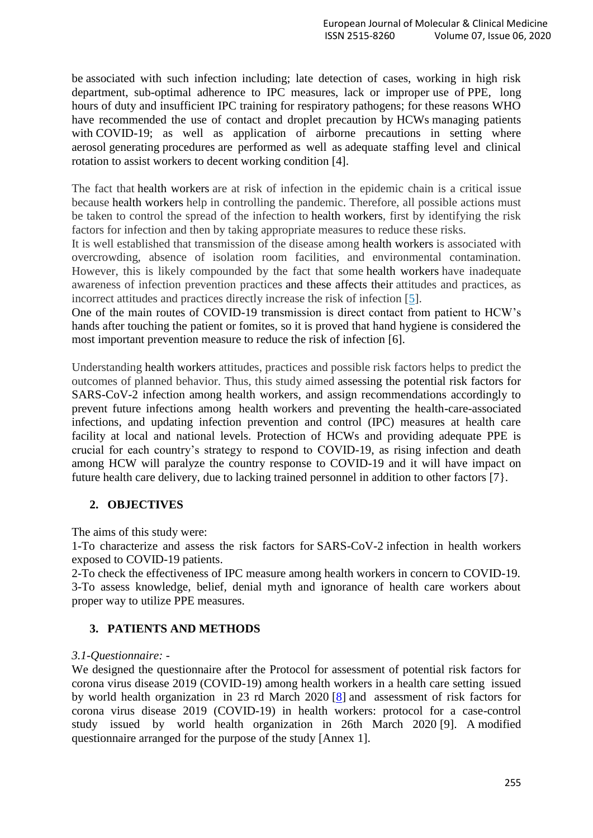be associated with such infection including; late detection of cases, working in high risk department, sub-optimal adherence to IPC measures, lack or improper use of PPE, long hours of duty and insufficient IPC training for respiratory pathogens; for these reasons WHO have recommended the use of contact and droplet precaution by HCWs managing patients with COVID-19; as well as application of airborne precautions in setting where aerosol generating procedures are performed as well as adequate staffing level and clinical rotation to assist workers to decent working condition [4].

The fact that health workers are at risk of infection in the epidemic chain is a critical issue because health workers help in controlling the pandemic. Therefore, all possible actions must be taken to control the spread of the infection to health workers, first by identifying the risk factors for infection and then by taking appropriate measures to reduce these risks.

It is well established that transmission of the disease among health workers is associated with overcrowding, absence of isolation room facilities, and environmental contamination. However, this is likely compounded by the fact that some health workers have inadequate awareness of infection prevention practices and these affects their attitudes and practices, as incorrect attitudes and practices directly increase the risk of infection [5].

One of the main routes of COVID-19 transmission is direct contact from patient to HCW's hands after touching the patient or fomites, so it is proved that hand hygiene is considered the most important prevention measure to reduce the risk of infection [6].

Understanding health workers attitudes, practices and possible risk factors helps to predict the outcomes of planned behavior. Thus, this study aimed assessing the potential risk factors for SARS-CoV-2 infection among health workers, and assign recommendations accordingly to prevent future infections among health workers and preventing the health-care-associated infections, and updating infection prevention and control (IPC) measures at health care facility at local and national levels. Protection of HCWs and providing adequate PPE is crucial for each country's strategy to respond to COVID-19, as rising infection and death among HCW will paralyze the country response to COVID-19 and it will have impact on future health care delivery, due to lacking trained personnel in addition to other factors [7}.

# **2. OBJECTIVES**

The aims of this study were:

1-To characterize and assess the risk factors for SARS-CoV-2 infection in health workers exposed to COVID-19 patients.

2-To check the effectiveness of IPC measure among health workers in concern to COVID-19. 3-To assess knowledge, belief, denial myth and ignorance of health care workers about proper way to utilize PPE measures.

# **3. PATIENTS AND METHODS**

# *3.1-Questionnaire: -*

We designed the questionnaire after the Protocol for assessment of potential risk factors for corona virus disease 2019 (COVID-19) among health workers in a health care setting issued by world health organization in 23 rd March 2020 [\[8\]](https://www.sciencedirect.com/science/article/pii/S0195670120301870) and assessment of risk factors for corona virus disease 2019 (COVID-19) in health workers: protocol for a case-control study issued by world health organization in 26th March 2020 [9]. A modified questionnaire arranged for the purpose of the study [Annex 1].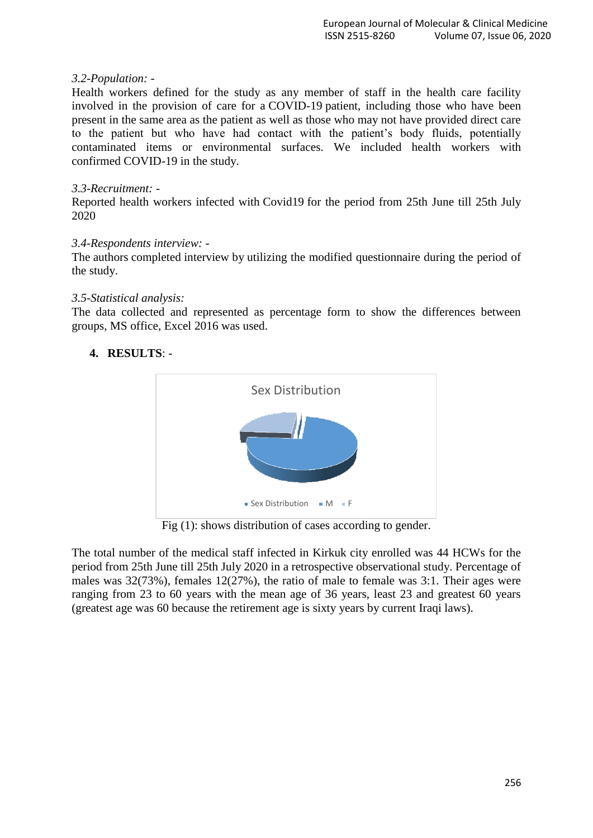### *3.2-Population: -*

Health workers defined for the study as any member of staff in the health care facility involved in the provision of care for a COVID-19 patient, including those who have been present in the same area as the patient as well as those who may not have provided direct care to the patient but who have had contact with the patient's body fluids, potentially contaminated items or environmental surfaces. We included health workers with confirmed COVID-19 in the study.

#### *3.3-Recruitment: -*

Reported health workers infected with Covid19 for the period from 25th June till 25th July 2020

#### *3.4-Respondents interview: -*

The authors completed interview by utilizing the modified questionnaire during the period of the study.

#### *3.5-Statistical analysis:*

The data collected and represented as percentage form to show the differences between groups, MS office, Excel 2016 was used.

# **4. RESULTS**: -



Fig (1): shows distribution of cases according to gender.

The total number of the medical staff infected in Kirkuk city enrolled was 44 HCWs for the period from 25th June till 25th July 2020 in a retrospective observational study. Percentage of males was 32(73%), females 12(27%), the ratio of male to female was 3:1. Their ages were ranging from 23 to 60 years with the mean age of 36 years, least 23 and greatest 60 years (greatest age was 60 because the retirement age is sixty years by current Iraqi laws).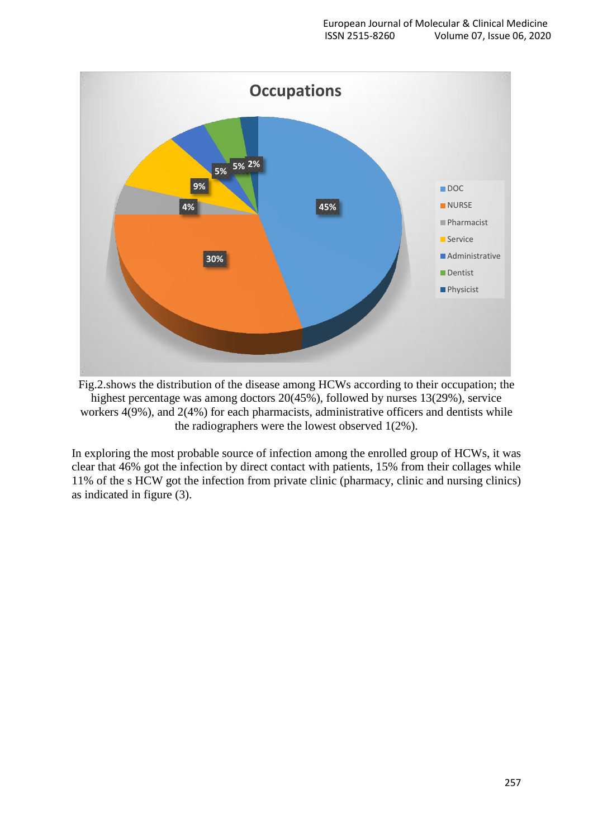

Fig.2.shows the distribution of the disease among HCWs according to their occupation; the highest percentage was among doctors 20(45%), followed by nurses 13(29%), service workers 4(9%), and 2(4%) for each pharmacists, administrative officers and dentists while the radiographers were the lowest observed 1(2%).

In exploring the most probable source of infection among the enrolled group of HCWs, it was clear that 46% got the infection by direct contact with patients, 15% from their collages while 11% of the s HCW got the infection from private clinic (pharmacy, clinic and nursing clinics) as indicated in figure (3).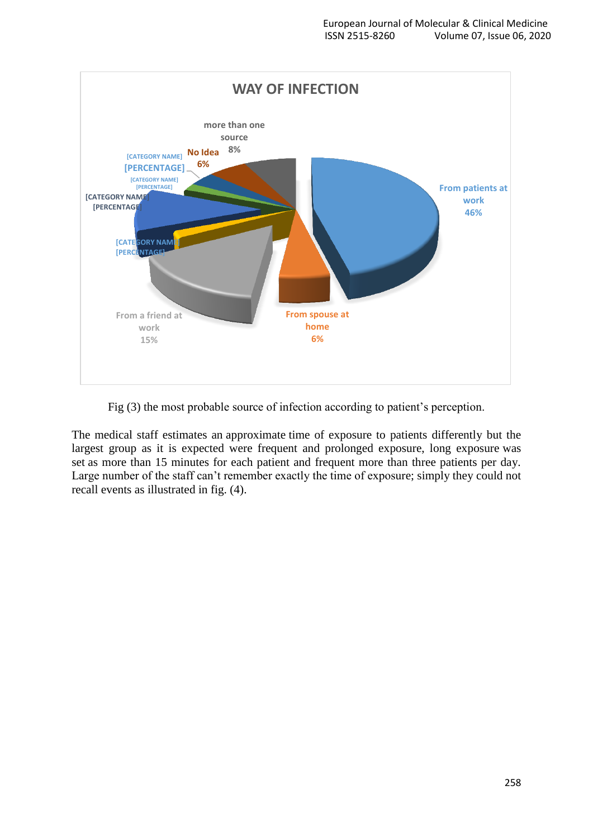

Fig (3) the most probable source of infection according to patient's perception.

The medical staff estimates an approximate time of exposure to patients differently but the largest group as it is expected were frequent and prolonged exposure, long exposure was set as more than 15 minutes for each patient and frequent more than three patients per day. Large number of the staff can't remember exactly the time of exposure; simply they could not recall events as illustrated in fig. (4).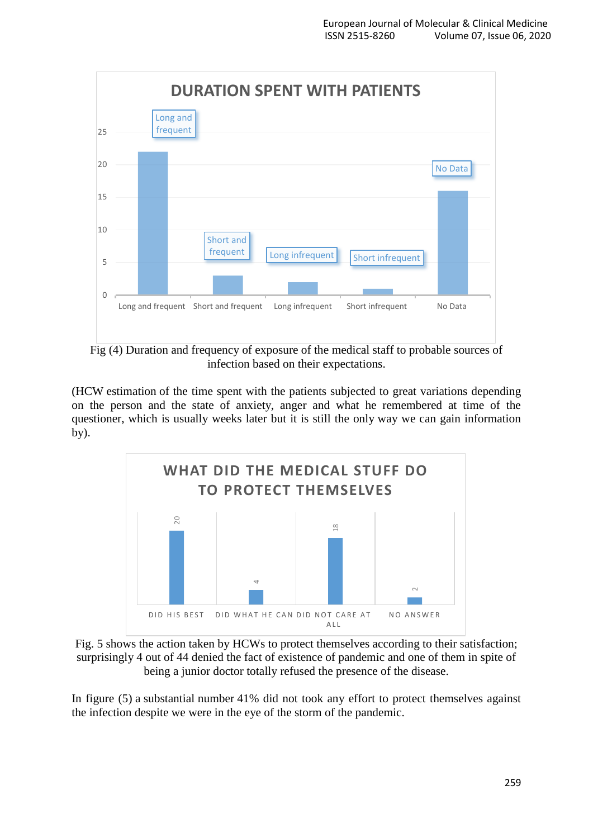

Fig (4) Duration and frequency of exposure of the medical staff to probable sources of infection based on their expectations.

(HCW estimation of the time spent with the patients subjected to great variations depending on the person and the state of anxiety, anger and what he remembered at time of the questioner, which is usually weeks later but it is still the only way we can gain information by).





In figure (5) a substantial number 41% did not took any effort to protect themselves against the infection despite we were in the eye of the storm of the pandemic.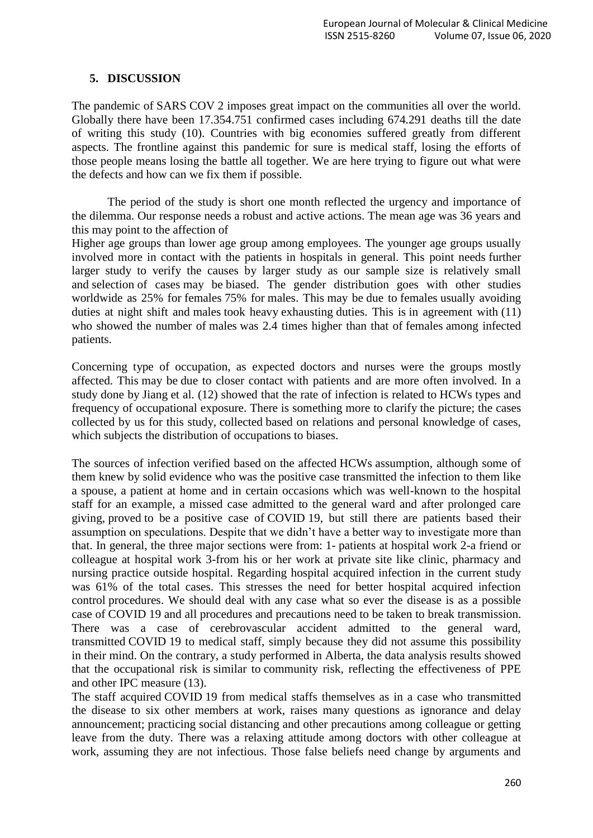### **5. DISCUSSION**

The pandemic of SARS COV 2 imposes great impact on the communities all over the world. Globally there have been 17.354.751 confirmed cases including 674.291 deaths till the date of writing this study (10). Countries with big economies suffered greatly from different aspects. The frontline against this pandemic for sure is medical staff, losing the efforts of those people means losing the battle all together. We are here trying to figure out what were the defects and how can we fix them if possible.

The period of the study is short one month reflected the urgency and importance of the dilemma. Our response needs a robust and active actions. The mean age was 36 years and this may point to the affection of

Higher age groups than lower age group among employees. The younger age groups usually involved more in contact with the patients in hospitals in general. This point needs further larger study to verify the causes by larger study as our sample size is relatively small and selection of cases may be biased. The gender distribution goes with other studies worldwide as 25% for females 75% for males. This may be due to females usually avoiding duties at night shift and males took heavy exhausting duties. This is in agreement with (11) who showed the number of males was 2.4 times higher than that of females among infected patients.

Concerning type of occupation, as expected doctors and nurses were the groups mostly affected. This may be due to closer contact with patients and are more often involved. In a study done by Jiang et al. (12) showed that the rate of infection is related to HCWs types and frequency of occupational exposure. There is something more to clarify the picture; the cases collected by us for this study, collected based on relations and personal knowledge of cases, which subjects the distribution of occupations to biases.

The sources of infection verified based on the affected HCWs assumption, although some of them knew by solid evidence who was the positive case transmitted the infection to them like a spouse, a patient at home and in certain occasions which was well-known to the hospital staff for an example, a missed case admitted to the general ward and after prolonged care giving, proved to be a positive case of COVID 19, but still there are patients based their assumption on speculations. Despite that we didn't have a better way to investigate more than that. In general, the three major sections were from: 1- patients at hospital work 2-a friend or colleague at hospital work 3-from his or her work at private site like clinic, pharmacy and nursing practice outside hospital. Regarding hospital acquired infection in the current study was 61% of the total cases. This stresses the need for better hospital acquired infection control procedures. We should deal with any case what so ever the disease is as a possible case of COVID 19 and all procedures and precautions need to be taken to break transmission. There was a case of cerebrovascular accident admitted to the general ward, transmitted COVID 19 to medical staff, simply because they did not assume this possibility in their mind. On the contrary, a study performed in Alberta, the data analysis results showed that the occupational risk is similar to community risk, reflecting the effectiveness of PPE and other IPC measure (13).

The staff acquired COVID 19 from medical staffs themselves as in a case who transmitted the disease to six other members at work, raises many questions as ignorance and delay announcement; practicing social distancing and other precautions among colleague or getting leave from the duty. There was a relaxing attitude among doctors with other colleague at work, assuming they are not infectious. Those false beliefs need change by arguments and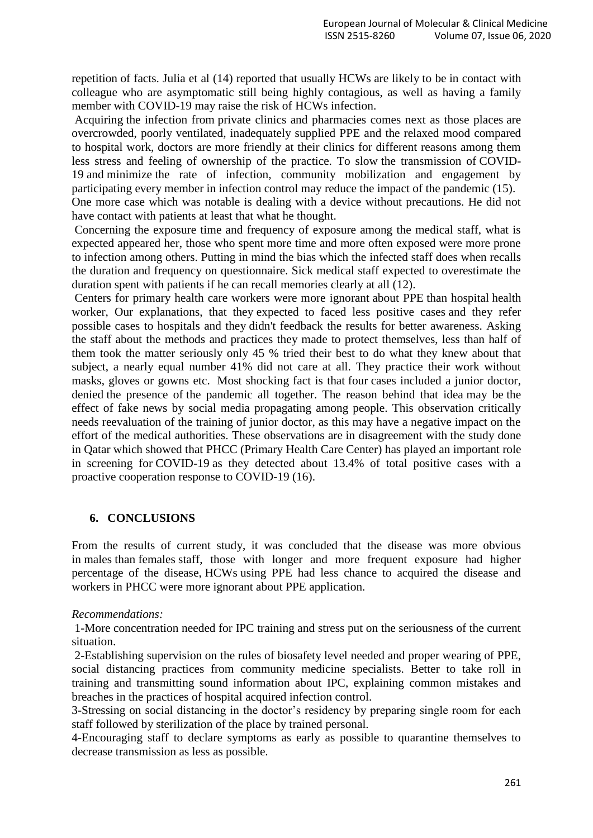repetition of facts. Julia et al (14) reported that usually HCWs are likely to be in contact with colleague who are asymptomatic still being highly contagious, as well as having a family member with COVID-19 may raise the risk of HCWs infection.

Acquiring the infection from private clinics and pharmacies comes next as those places are overcrowded, poorly ventilated, inadequately supplied PPE and the relaxed mood compared to hospital work, doctors are more friendly at their clinics for different reasons among them less stress and feeling of ownership of the practice. To slow the transmission of COVID-19 and minimize the rate of infection, community mobilization and engagement by participating every member in infection control may reduce the impact of the pandemic (15). One more case which was notable is dealing with a device without precautions. He did not have contact with patients at least that what he thought.

Concerning the exposure time and frequency of exposure among the medical staff, what is expected appeared her, those who spent more time and more often exposed were more prone to infection among others. Putting in mind the bias which the infected staff does when recalls the duration and frequency on questionnaire. Sick medical staff expected to overestimate the duration spent with patients if he can recall memories clearly at all (12).

Centers for primary health care workers were more ignorant about PPE than hospital health worker, Our explanations, that they expected to faced less positive cases and they refer possible cases to hospitals and they didn't feedback the results for better awareness. Asking the staff about the methods and practices they made to protect themselves, less than half of them took the matter seriously only 45 % tried their best to do what they knew about that subject, a nearly equal number 41% did not care at all. They practice their work without masks, gloves or gowns etc. Most shocking fact is that four cases included a junior doctor, denied the presence of the pandemic all together. The reason behind that idea may be the effect of fake news by social media propagating among people. This observation critically needs reevaluation of the training of junior doctor, as this may have a negative impact on the effort of the medical authorities. These observations are in disagreement with the study done in Qatar which showed that PHCC (Primary Health Care Center) has played an important role in screening for COVID-19 as they detected about 13.4% of total positive cases with a proactive cooperation response to COVID-19 (16).

#### **6. CONCLUSIONS**

From the results of current study, it was concluded that the disease was more obvious in males than females staff, those with longer and more frequent exposure had higher percentage of the disease, HCWs using PPE had less chance to acquired the disease and workers in PHCC were more ignorant about PPE application.

#### *Recommendations:*

1-More concentration needed for IPC training and stress put on the seriousness of the current situation.

2-Establishing supervision on the rules of biosafety level needed and proper wearing of PPE, social distancing practices from community medicine specialists. Better to take roll in training and transmitting sound information about IPC, explaining common mistakes and breaches in the practices of hospital acquired infection control.

3-Stressing on social distancing in the doctor's residency by preparing single room for each staff followed by sterilization of the place by trained personal.

4-Encouraging staff to declare symptoms as early as possible to quarantine themselves to decrease transmission as less as possible.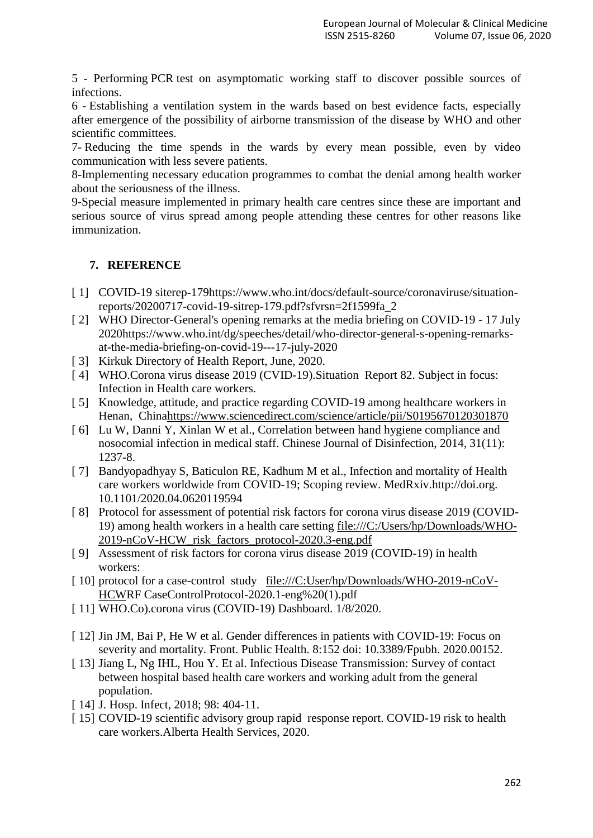5 - Performing PCR test on asymptomatic working staff to discover possible sources of infections.

6 - Establishing a ventilation system in the wards based on best evidence facts, especially after emergence of the possibility of airborne transmission of the disease by WHO and other scientific committees.

7- Reducing the time spends in the wards by every mean possible, even by video communication with less severe patients.

8-Implementing necessary education programmes to combat the denial among health worker about the seriousness of the illness.

9-Special measure implemented in primary health care centres since these are important and serious source of virus spread among people attending these centres for other reasons like immunization.

# **7. REFERENCE**

- [ 1] COVID-19 siterep-179https://www.who.int/docs/default-source/coronaviruse/situationreports/20200717-covid-19-sitrep-179.pdf?sfvrsn=2f1599fa\_2
- [ 2] WHO Director-General's opening remarks at the media briefing on COVID-19 17 July 2020https://www.who.int/dg/speeches/detail/who-director-general-s-opening-remarksat-the-media-briefing-on-covid-19---17-july-2020
- [ 3] Kirkuk Directory of Health Report, June, 2020.
- [ 4] WHO.Corona virus disease 2019 (CVID-19).Situation Report 82. Subject in focus: Infection in Health care workers.
- [ 5] Knowledge, attitude, and practice regarding COVID-19 among healthcare workers in Henan, Chin[ahttps://www.sciencedirect.com/science/article/pii/S0195670120301870](https://www.sciencedirect.com/science/article/pii/S0195670120301870)
- [ 6] Lu W, Danni Y, Xinlan W et al., Correlation between hand hygiene compliance and nosocomial infection in medical staff. Chinese Journal of Disinfection, 2014, 31(11): 1237-8.
- [ 7] Bandyopadhyay S, Baticulon RE, Kadhum M et al., Infection and mortality of Health care workers worldwide from COVID-19; Scoping review. MedRxiv.http://doi.org. 10.1101/2020.04.0620119594
- [ 8] Protocol for assessment of potential risk factors for corona virus disease 2019 (COVID-19) among health workers in a health care setting [file:///C:/Users/hp/Downloads/WHO-](file:///C:/Users/hp/Downloads/WHO-2019-nCoV-HCW_risk_factors_protocol-2020.3-eng.pdf)[2019-nCoV-HCW\\_risk\\_factors\\_protocol-2020.3-eng.pdf](file:///C:/Users/hp/Downloads/WHO-2019-nCoV-HCW_risk_factors_protocol-2020.3-eng.pdf)
- [ 9] Assessment of risk factors for corona virus disease 2019 (COVID-19) in health workers:
- [ 10] protocol for a case-control study [file:///C:User/hp/Downloads/WHO-2019-nCoV-](file:///C:/Users/MAYUR/Documents/User/hp/Downloads/WHO-2019-nCoV-HCW)[HCWR](file:///C:/Users/MAYUR/Documents/User/hp/Downloads/WHO-2019-nCoV-HCW)F CaseControlProtocol-2020.1-eng%20(1).pdf
- [ 11] WHO.Co).corona virus (COVID-19) Dashboard. 1/8/2020.
- [ 12] Jin JM, Bai P, He W et al. Gender differences in patients with COVID-19: Focus on severity and mortality. Front. Public Health. 8:152 doi: 10.3389/Fpubh. 2020.00152.
- [ 13] Jiang L, Ng IHL, Hou Y. Et al. Infectious Disease Transmission: Survey of contact between hospital based health care workers and working adult from the general population.
- [ 14] J. Hosp. Infect, 2018; 98: 404-11.
- [ 15] COVID-19 scientific advisory group rapid response report. COVID-19 risk to health care workers.Alberta Health Services, 2020.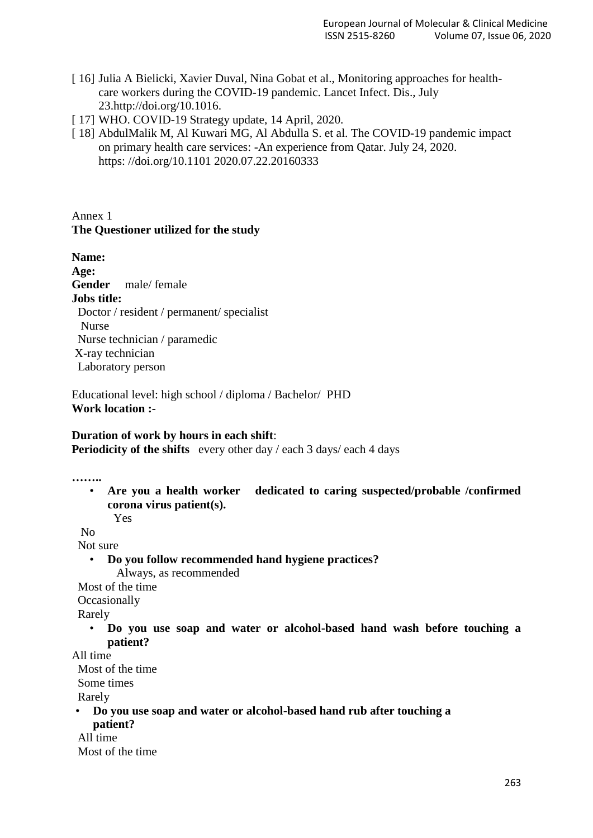- [ 16] Julia A Bielicki, Xavier Duval, Nina Gobat et al., Monitoring approaches for healthcare workers during the COVID-19 pandemic. Lancet Infect. Dis., July 23.http://doi.org/10.1016.
- [ 17] WHO. COVID-19 Strategy update, 14 April, 2020.
- [ 18] AbdulMalik M, Al Kuwari MG, Al Abdulla S. et al. The COVID-19 pandemic impact on primary health care services: -An experience from Qatar. July 24, 2020. https: //doi.org/10.1101 2020.07.22.20160333

# Annex 1 **The Questioner utilized for the study**

**Name: Age: Gender** male/ female **Jobs title:** Doctor / resident / permanent/ specialist Nurse Nurse technician / paramedic X-ray technician Laboratory person

Educational level: high school / diploma / Bachelor/ PHD **Work location :-**

#### **Duration of work by hours in each shift**:

**Periodicity of the shifts** every other day / each 3 days/ each 4 days

**……..**

• **Are you a health worker dedicated to caring suspected/probable /confirmed corona virus patient(s).**

Yes

 $N<sub>0</sub>$ 

Not sure

• **Do you follow recommended hand hygiene practices?** Always, as recommended

Most of the time

**Occasionally** 

Rarely

• **Do you use soap and water or alcohol-based hand wash before touching a patient?**

All time

Most of the time

Some times

Rarely

• **Do you use soap and water or alcohol-based hand rub after touching a patient?**

All time

Most of the time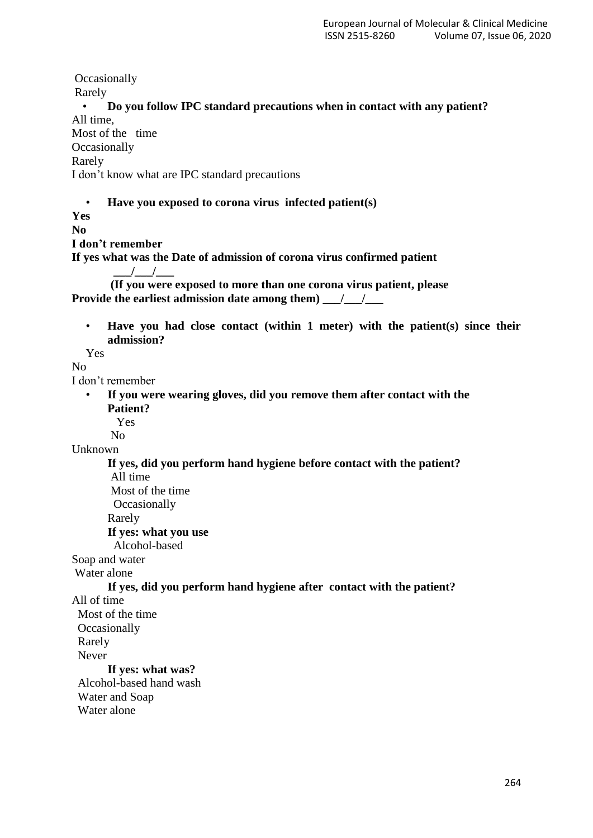**Occasionally** Rarely • **Do you follow IPC standard precautions when in contact with any patient?** All time, Most of the time **Occasionally** Rarely I don't know what are IPC standard precautions • **Have you exposed to corona virus infected patient(s) Yes No I don't remember If yes what was the Date of admission of corona virus confirmed patient \_\_\_/\_\_\_/\_\_\_ (If you were exposed to more than one corona virus patient, please Provide the earliest admission date among them)**  $\frac{1}{2}$ • **Have you had close contact (within 1 meter) with the patient(s) since their admission?** Yes  $N<sub>0</sub>$ I don't remember • **If you were wearing gloves, did you remove them after contact with the Patient?** Yes No Unknown **If yes, did you perform hand hygiene before contact with the patient?** All time Most of the time **Occasionally** Rarely **If yes: what you use**  Alcohol-based Soap and water Water alone **If yes, did you perform hand hygiene after contact with the patient?** All of time Most of the time **Occasionally**  Rarely Never **If yes: what was?** Alcohol-based hand wash Water and Soap Water alone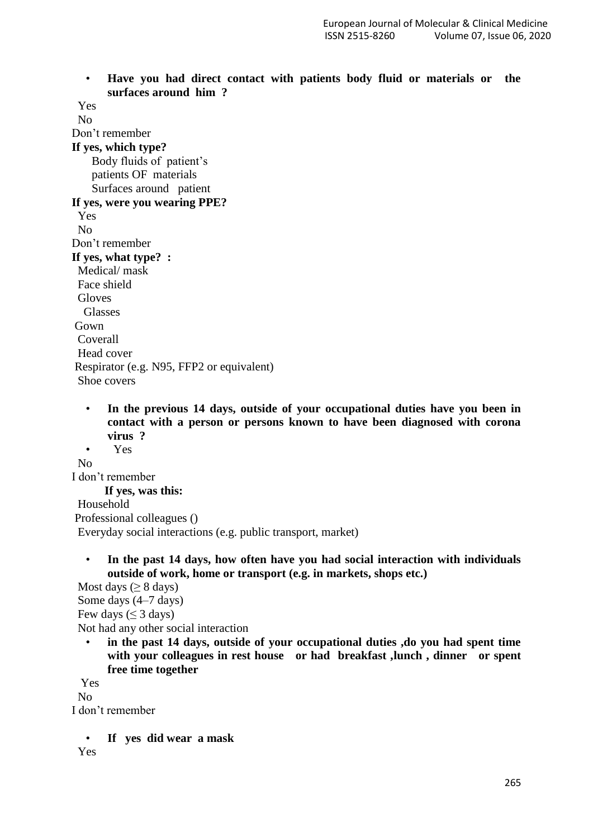• **Have you had direct contact with patients body fluid or materials or the surfaces around him ?**

 Yes No Don't remember **If yes, which type?**  Body fluids of patient's patients OF materials Surfaces around patient **If yes, were you wearing PPE?** Yes No Don't remember **If yes, what type? :** Medical/ mask Face shield Gloves Glasses Gown

 Coverall Head cover Respirator (e.g. N95, FFP2 or equivalent)

- Shoe covers
	- **In the previous 14 days, outside of your occupational duties have you been in contact with a person or persons known to have been diagnosed with corona virus ?**

• Yes No I don't remember  **If yes, was this:** Household Professional colleagues () Everyday social interactions (e.g. public transport, market)

• **In the past 14 days, how often have you had social interaction with individuals outside of work, home or transport (e.g. in markets, shops etc.)**

Most days ( $\geq 8$  days) Some days (4–7 days) Few days  $(\leq 3$  days) Not had any other social interaction

in the past 14 days, outside of your occupational duties , do you had spent time **with your colleagues in rest house or had breakfast ,lunch , dinner or spent free time together**

Yes

 $N<sub>0</sub>$ 

I don't remember

• **If yes did wear a mask** 

Yes